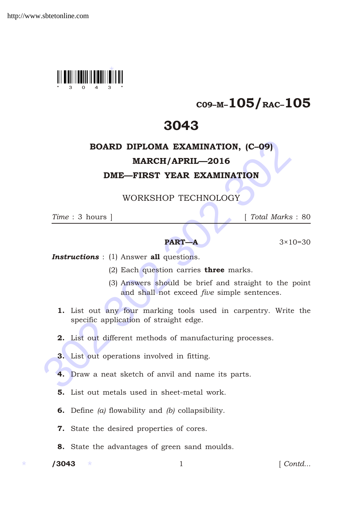

## C09–M–105/RAC–105

## 3043

# BOARD DIPLOMA EXAMINATION, (C–09)

### MARCH/APRIL—2016

### DME—FIRST YEAR EXAMINATION

WORKSHOP TECHNOLOGY

*Time* : 3 hours ] [ *Total Marks* : 80

#### **PART—A**  $3 \times 10 = 30$

**Instructions** : (1) Answer all questions.

- (2) Each question carries three marks.
- (3) Answers should be brief and straight to the point and shall not exceed *five* simple sentences.
- **BOARD DIPLOMA EXAMINATION, (C-09)**<br> **MARCH/APRIL—2016**<br> **DME—FIRST YEAR EXAMINATION**<br>
WORKSHOP TECHNOLOGY<br>
Time : 3 hours | [Total Marks :<br> **PART-A** 3×10=<br> **Instructions** : (1) Answer all questions.<br>
(2) Each question ca 1. List out any four marking tools used in carpentry. Write the specific application of straight edge.
	- 2. List out different methods of manufacturing processes.
	- 3. List out operations involved in fitting.
	- 4. Draw a neat sketch of anvil and name its parts.
	- 5. List out metals used in sheet-metal work.
	- 6. Define *(a)* flowability and *(b)* collapsibility.
	- 7. State the desired properties of cores.
	- 8. State the advantages of green sand moulds.

 $/ 3043$ 

1 *Contd...*